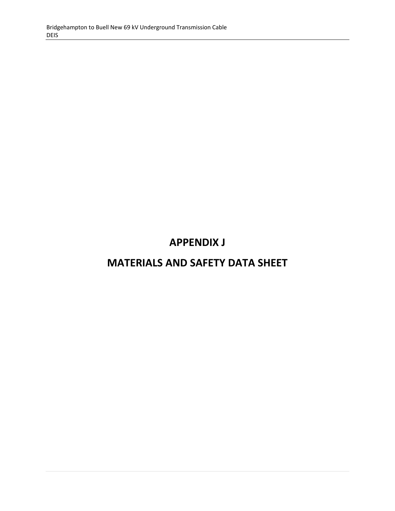# **APPENDIX J**

# **MATERIALS AND SAFETY DATA SHEET**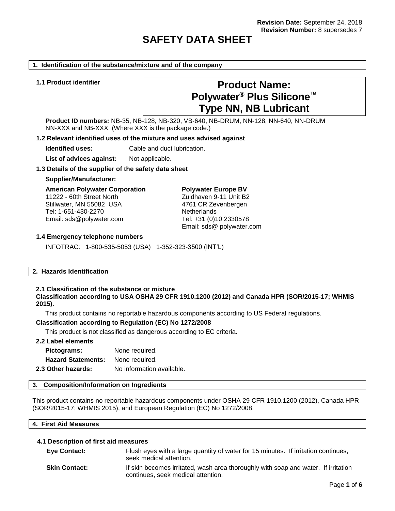# **SAFETY DATA SHEET**

#### **1. Identification of the substance/mixture and of the company**

# **1.1 Product identifier Product Name: Polywater® Plus Silicone™ Type NN, NB Lubricant**

**Product ID numbers:** NB-35, NB-128, NB-320, VB-640, NB-DRUM, NN-128, NN-640, NN-DRUM NN-XXX and NB-XXX (Where XXX is the package code.)

# **1.2 Relevant identified uses of the mixture and uses advised against**

**Identified uses:** Cable and duct lubrication.

List of advices against: Not applicable.

#### **1.3 Details of the supplier of the safety data sheet**

#### **Supplier/Manufacturer:**

**American Polywater Corporation** 11222 - 60th Street North Stillwater, MN 55082 USA Tel: 1-651-430-2270 Email: sds@polywater.com

**Polywater Europe BV** Zuidhaven 9-11 Unit B2 4761 CR Zevenbergen **Netherlands** Tel: +31 (0)10 2330578 Email: sds@ polywater.com

#### **1.4 Emergency telephone numbers**

INFOTRAC: 1-800-535-5053 (USA) 1-352-323-3500 (INT'L)

#### **2. Hazards Identification**

# **2.1 Classification of the substance or mixture**

**Classification according to USA OSHA 29 CFR 1910.1200 (2012) and Canada HPR (SOR/2015-17; WHMIS 2015).**

This product contains no reportable hazardous components according to US Federal regulations.

# **Classification according to Regulation (EC) No 1272/2008**

This product is not classified as dangerous according to EC criteria.

# **2.2 Label elements**

| Pictograms:               | None required.            |
|---------------------------|---------------------------|
| <b>Hazard Statements:</b> | None required.            |
| 2.3 Other hazards:        | No information available. |

#### **3. Composition/Information on Ingredients**

This product contains no reportable hazardous components under OSHA 29 CFR 1910.1200 (2012), Canada HPR (SOR/2015-17; WHMIS 2015), and European Regulation (EC) No 1272/2008.

| 4. First Aid Measures |  |  |
|-----------------------|--|--|
|                       |  |  |

#### **4.1 Description of first aid measures**

| <b>Eye Contact:</b>  | Flush eyes with a large quantity of water for 15 minutes. If irritation continues,<br>seek medical attention.            |
|----------------------|--------------------------------------------------------------------------------------------------------------------------|
| <b>Skin Contact:</b> | If skin becomes irritated, wash area thoroughly with soap and water. If irritation<br>continues, seek medical attention. |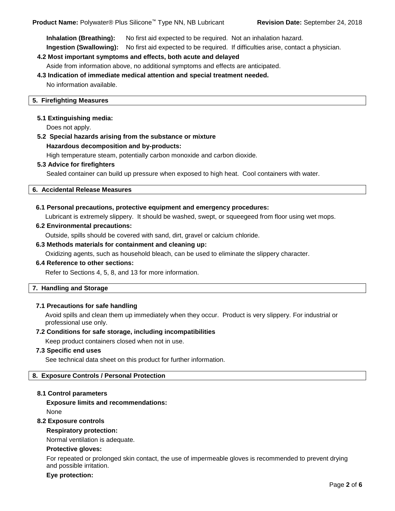**Inhalation (Breathing):** No first aid expected to be required. Not an inhalation hazard.

# **Ingestion (Swallowing):** No first aid expected to be required. If difficulties arise, contact a physician.

# **4.2 Most important symptoms and effects, both acute and delayed**

Aside from information above, no additional symptoms and effects are anticipated.

# **4.3 Indication of immediate medical attention and special treatment needed.**

No information available.

# **5. Firefighting Measures**

# **5.1 Extinguishing media:**

Does not apply.

# **5.2 Special hazards arising from the substance or mixture**

# **Hazardous decomposition and by-products:**

High temperature steam, potentially carbon monoxide and carbon dioxide.

# **5.3 Advice for firefighters**

Sealed container can build up pressure when exposed to high heat. Cool containers with water.

**6. Accidental Release Measures**

# **6.1 Personal precautions, protective equipment and emergency procedures:**

Lubricant is extremely slippery. It should be washed, swept, or squeegeed from floor using wet mops.

# **6.2 Environmental precautions:**

Outside, spills should be covered with sand, dirt, gravel or calcium chloride.

# **6.3 Methods materials for containment and cleaning up:**

Oxidizing agents, such as household bleach, can be used to eliminate the slippery character.

# **6.4 Reference to other sections:**

Refer to Sections 4, 5, 8, and 13 for more information.

# **7. Handling and Storage**

# **7.1 Precautions for safe handling**

Avoid spills and clean them up immediately when they occur. Product is very slippery. For industrial or professional use only.

# **7.2 Conditions for safe storage, including incompatibilities**

Keep product containers closed when not in use.

# **7.3 Specific end uses**

See technical data sheet on this product for further information.

# **8. Exposure Controls / Personal Protection**

# **8.1 Control parameters**

**Exposure limits and recommendations:** None

# **8.2 Exposure controls**

# **Respiratory protection:**

Normal ventilation is adequate.

# **Protective gloves:**

For repeated or prolonged skin contact, the use of impermeable gloves is recommended to prevent drying and possible irritation.

#### **Eye protection:**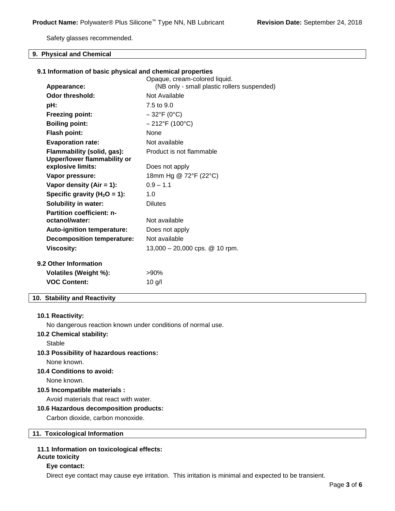Safety glasses recommended.

# **9. Physical and Chemical**

# **9.1 Information of basic physical and chemical properties**

| (NB only - small plastic rollers suspended)<br>Appearance:<br><b>Odor threshold:</b><br>Not Available<br>7.5 to 9.0<br>pH:<br>$\sim$ 32°F (0°C)<br><b>Freezing point:</b><br>$\sim$ 212°F (100°C)<br><b>Boiling point:</b><br><b>Flash point:</b><br><b>None</b> |  |
|------------------------------------------------------------------------------------------------------------------------------------------------------------------------------------------------------------------------------------------------------------------|--|
|                                                                                                                                                                                                                                                                  |  |
|                                                                                                                                                                                                                                                                  |  |
|                                                                                                                                                                                                                                                                  |  |
|                                                                                                                                                                                                                                                                  |  |
|                                                                                                                                                                                                                                                                  |  |
| <b>Evaporation rate:</b><br>Not available                                                                                                                                                                                                                        |  |
| Flammability (solid, gas):<br>Product is not flammable<br><b>Upper/lower flammability or</b>                                                                                                                                                                     |  |
| explosive limits:<br>Does not apply                                                                                                                                                                                                                              |  |
| 18mm Hg @ 72°F (22°C)<br>Vapor pressure:                                                                                                                                                                                                                         |  |
| $0.9 - 1.1$<br>Vapor density (Air = $1$ ):                                                                                                                                                                                                                       |  |
| Specific gravity ( $H_2O = 1$ ):<br>1.0                                                                                                                                                                                                                          |  |
| <b>Solubility in water:</b><br><b>Dilutes</b>                                                                                                                                                                                                                    |  |
| <b>Partition coefficient: n-</b><br>octanol/water:<br>Not available                                                                                                                                                                                              |  |
| <b>Auto-ignition temperature:</b><br>Does not apply                                                                                                                                                                                                              |  |
| <b>Decomposition temperature:</b><br>Not available                                                                                                                                                                                                               |  |
| <b>Viscosity:</b><br>13,000 $-$ 20,000 cps. $@$ 10 rpm.                                                                                                                                                                                                          |  |
| <b>9.2 Other Information</b>                                                                                                                                                                                                                                     |  |
| Volatiles (Weight %):<br>$>90\%$                                                                                                                                                                                                                                 |  |
| <b>VOC Content:</b><br>$10$ g/l                                                                                                                                                                                                                                  |  |

# **10. Stability and Reactivity**

### **10.1 Reactivity:**

No dangerous reaction known under conditions of normal use.

# **10.2 Chemical stability:**

Stable

# **10.3 Possibility of hazardous reactions:**

None known.

# **10.4 Conditions to avoid:**

None known.

# **10.5 Incompatible materials :**

Avoid materials that react with water.

# **10.6 Hazardous decomposition products:**

Carbon dioxide, carbon monoxide.

# **11. Toxicological Information**

# **11.1 Information on toxicological effects:**

# **Acute toxicity**

# **Eye contact:**

Direct eye contact may cause eye irritation. This irritation is minimal and expected to be transient.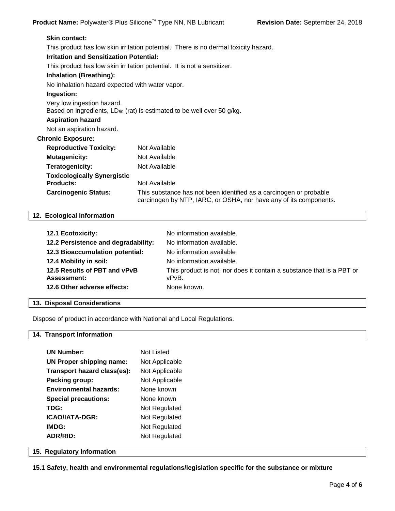| <b>Skin contact:</b>                            |                                                                                                                                         |
|-------------------------------------------------|-----------------------------------------------------------------------------------------------------------------------------------------|
|                                                 | This product has low skin irritation potential. There is no dermal toxicity hazard.                                                     |
| <b>Irritation and Sensitization Potential:</b>  |                                                                                                                                         |
|                                                 | This product has low skin irritation potential. It is not a sensitizer.                                                                 |
| <b>Inhalation (Breathing):</b>                  |                                                                                                                                         |
| No inhalation hazard expected with water vapor. |                                                                                                                                         |
| Ingestion:                                      |                                                                                                                                         |
| Very low ingestion hazard.                      | Based on ingredients, LD <sub>50</sub> (rat) is estimated to be well over 50 g/kg.                                                      |
| <b>Aspiration hazard</b>                        |                                                                                                                                         |
| Not an aspiration hazard.                       |                                                                                                                                         |
| <b>Chronic Exposure:</b>                        |                                                                                                                                         |
| <b>Reproductive Toxicity:</b>                   | Not Available                                                                                                                           |
| <b>Mutagenicity:</b>                            | Not Available                                                                                                                           |
| Teratogenicity:                                 | Not Available                                                                                                                           |
| <b>Toxicologically Synergistic</b>              |                                                                                                                                         |
| <b>Products:</b>                                | Not Available                                                                                                                           |
| <b>Carcinogenic Status:</b>                     | This substance has not been identified as a carcinogen or probable<br>carcinogen by NTP, IARC, or OSHA, nor have any of its components. |

# **12. Ecological Information**

| <b>12.1 Ecotoxicity:</b>                           | No information available.                                                      |
|----------------------------------------------------|--------------------------------------------------------------------------------|
| 12.2 Persistence and degradability:                | No information available.                                                      |
| 12.3 Bioaccumulation potential:                    | No information available                                                       |
| 12.4 Mobility in soil:                             | No information available.                                                      |
| 12.5 Results of PBT and vPvB<br><b>Assessment:</b> | This product is not, nor does it contain a substance that is a PBT or<br>vPvB. |
| 12.6 Other adverse effects:                        | None known.                                                                    |

# **13. Disposal Considerations**

Dispose of product in accordance with National and Local Regulations.

# **14. Transport Information**

| <b>UN Number:</b>             | Not Listed     |
|-------------------------------|----------------|
| UN Proper shipping name:      | Not Applicable |
| Transport hazard class(es):   | Not Applicable |
| Packing group:                | Not Applicable |
| <b>Environmental hazards:</b> | None known     |
| <b>Special precautions:</b>   | None known     |
| TDG:                          | Not Regulated  |
| ICAO/IATA-DGR:                | Not Regulated  |
| IMDG:                         | Not Regulated  |
| <b>ADR/RID:</b>               | Not Regulated  |
|                               |                |

# **15. Regulatory Information**

**15.1 Safety, health and environmental regulations/legislation specific for the substance or mixture**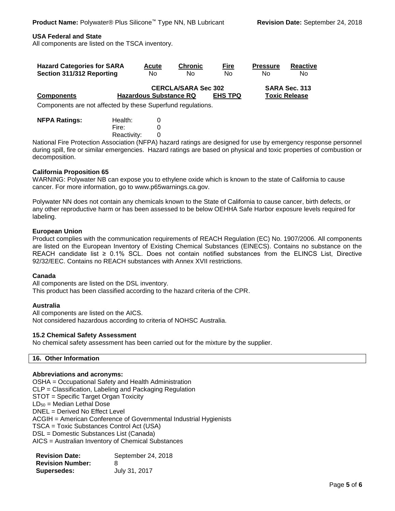# **USA Federal and State**

All components are listed on the TSCA inventory.

| <b>Hazard Categories for SARA</b>                              |                               | <b>Acute</b> | <b>Chronic</b>             | <b>Fire</b>    | <b>Pressure</b> | <b>Reactive</b>      |
|----------------------------------------------------------------|-------------------------------|--------------|----------------------------|----------------|-----------------|----------------------|
| Section 311/312 Reporting                                      |                               | No           | No.                        | No             | Nο              | No.                  |
|                                                                |                               |              | <b>CERCLA/SARA Sec 302</b> |                |                 | SARA Sec. 313        |
| <b>Components</b>                                              | <b>Hazardous Substance RQ</b> |              |                            | <b>EHS TPQ</b> |                 | <b>Toxic Release</b> |
| Componente que not officialed by these Cunombural requisitions |                               |              |                            |                |                 |                      |

Components are not affected by these Superfund regulations.

| <b>NFPA Ratings:</b> | Health:     | O |
|----------------------|-------------|---|
|                      | Fire:       |   |
|                      | Reactivity: |   |

National Fire Protection Association (NFPA) hazard ratings are designed for use by emergency response personnel during spill, fire or similar emergencies. Hazard ratings are based on physical and toxic properties of combustion or decomposition.

# **California Proposition 65**

WARNING: Polywater NB can expose you to ethylene oxide which is known to the state of California to cause cancer. For more information, go to www.p65warnings.ca.gov.

Polywater NN does not contain any chemicals known to the State of California to cause cancer, birth defects, or any other reproductive harm or has been assessed to be below OEHHA Safe Harbor exposure levels required for labeling.

# **European Union**

Product complies with the communication requirements of REACH Regulation (EC) No. 1907/2006. All components are listed on the European Inventory of Existing Chemical Substances (EINECS). Contains no substance on the REACH candidate list ≥ 0.1% SCL. Does not contain notified substances from the ELINCS List, Directive 92/32/EEC. Contains no REACH substances with Annex XVII restrictions.

# **Canada**

All components are listed on the DSL inventory. This product has been classified according to the hazard criteria of the CPR.

# **Australia**

All components are listed on the AICS. Not considered hazardous according to criteria of NOHSC Australia.

# **15.2 Chemical Safety Assessment**

No chemical safety assessment has been carried out for the mixture by the supplier.

# **16. Other Information**

# **Abbreviations and acronyms:**

OSHA = Occupational Safety and Health Administration CLP = Classification, Labeling and Packaging Regulation STOT = Specific Target Organ Toxicity  $LD_{50}$  = Median Lethal Dose DNEL = Derived No Effect Level ACGIH = American Conference of Governmental Industrial Hygienists TSCA = Toxic Substances Control Act (USA) DSL = Domestic Substances List (Canada) AICS = Australian Inventory of Chemical Substances

| <b>Revision Date:</b>   | September 24, 2018 |
|-------------------------|--------------------|
| <b>Revision Number:</b> | 8                  |
| Supersedes:             | July 31, 2017      |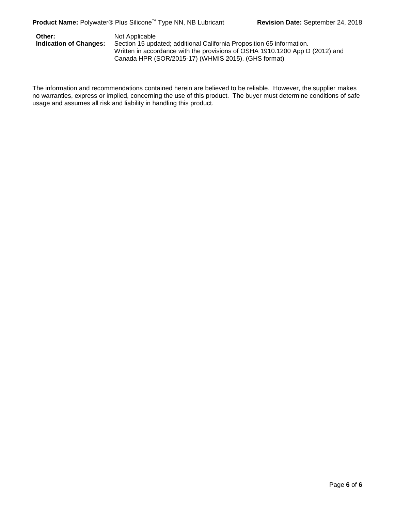**Other:** Not Applicable<br>**Indication of Changes:** Section 15 upd Section 15 updated; additional California Proposition 65 information. Written in accordance with the provisions of OSHA 1910.1200 App D (2012) and Canada HPR (SOR/2015-17) (WHMIS 2015). (GHS format)

The information and recommendations contained herein are believed to be reliable. However, the supplier makes no warranties, express or implied, concerning the use of this product. The buyer must determine conditions of safe usage and assumes all risk and liability in handling this product.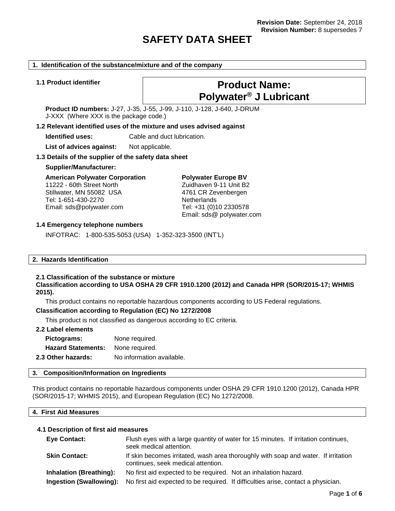# **SAFETY DATA SHEET**

#### **1. Identification of the substance/mixture and of the company**

# **1.1 Product identifier Product Name: Polywater® J Lubricant**

**Product ID numbers:** J-27, J-35, J-55, J-99, J-110, J-128, J-640, J-DRUM J-XXX (Where XXX is the package code.)

#### **1.2 Relevant identified uses of the mixture and uses advised against**

**Identified uses:** Cable and duct lubrication.

List of advices against: Not applicable.

#### **1.3 Details of the supplier of the safety data sheet**

#### **Supplier/Manufacturer:**

**American Polywater Corporation** 11222 - 60th Street North

Stillwater, MN 55082 USA Tel: 1-651-430-2270 Email: sds@polywater.com **Polywater Europe BV** Zuidhaven 9-11 Unit B2 4761 CR Zevenbergen **Netherlands** Tel: +31 (0)10 2330578 Email: sds@ polywater.com

#### **1.4 Emergency telephone numbers**

INFOTRAC: 1-800-535-5053 (USA) 1-352-323-3500 (INT'L)

#### **2. Hazards Identification**

# **2.1 Classification of the substance or mixture**

**Classification according to USA OSHA 29 CFR 1910.1200 (2012) and Canada HPR (SOR/2015-17; WHMIS 2015).**

This product contains no reportable hazardous components according to US Federal regulations.

#### **Classification according to Regulation (EC) No 1272/2008**

This product is not classified as dangerous according to EC criteria.

# **2.2 Label elements**

| Pictograms:               | None required.            |
|---------------------------|---------------------------|
| <b>Hazard Statements:</b> | None required.            |
| 2.3 Other hazards:        | No information available. |

#### **3. Composition/Information on Ingredients**

This product contains no reportable hazardous components under OSHA 29 CFR 1910.1200 (2012), Canada HPR (SOR/2015-17; WHMIS 2015), and European Regulation (EC) No 1272/2008.

# **4. First Aid Measures**

# **4.1 Description of first aid measures**

| <b>Eye Contact:</b>            | Flush eyes with a large quantity of water for 15 minutes. If irritation continues,<br>seek medical attention.            |
|--------------------------------|--------------------------------------------------------------------------------------------------------------------------|
| <b>Skin Contact:</b>           | If skin becomes irritated, wash area thoroughly with soap and water. If irritation<br>continues, seek medical attention. |
| <b>Inhalation (Breathing):</b> | No first aid expected to be required. Not an inhalation hazard.                                                          |
| Ingestion (Swallowing):        | No first aid expected to be required. If difficulties arise, contact a physician.                                        |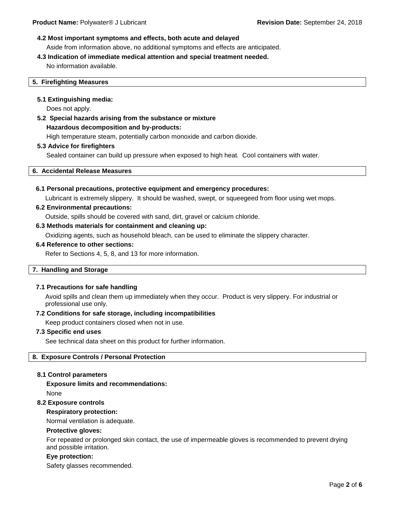# **4.2 Most important symptoms and effects, both acute and delayed**

Aside from information above, no additional symptoms and effects are anticipated.

# **4.3 Indication of immediate medical attention and special treatment needed.**

No information available.

# **5. Firefighting Measures**

# **5.1 Extinguishing media:**

Does not apply.

# **5.2 Special hazards arising from the substance or mixture Hazardous decomposition and by-products:** High temperature steam, potentially carbon monoxide and carbon dioxide.

# **5.3 Advice for firefighters**

Sealed container can build up pressure when exposed to high heat. Cool containers with water.

**6. Accidental Release Measures**

# **6.1 Personal precautions, protective equipment and emergency procedures:**

Lubricant is extremely slippery. It should be washed, swept, or squeegeed from floor using wet mops.

# **6.2 Environmental precautions:**

Outside, spills should be covered with sand, dirt, gravel or calcium chloride.

# **6.3 Methods materials for containment and cleaning up:**

Oxidizing agents, such as household bleach, can be used to eliminate the slippery character.

# **6.4 Reference to other sections:**

Refer to Sections 4, 5, 8, and 13 for more information.

# **7. Handling and Storage**

# **7.1 Precautions for safe handling**

Avoid spills and clean them up immediately when they occur. Product is very slippery. For industrial or professional use only.

# **7.2 Conditions for safe storage, including incompatibilities**

Keep product containers closed when not in use.

# **7.3 Specific end uses**

See technical data sheet on this product for further information.

# **8. Exposure Controls / Personal Protection**

# **8.1 Control parameters**

# **Exposure limits and recommendations:** None

# **8.2 Exposure controls**

# **Respiratory protection:**

Normal ventilation is adequate.

# **Protective gloves:**

For repeated or prolonged skin contact, the use of impermeable gloves is recommended to prevent drying and possible irritation.

# **Eye protection:**

Safety glasses recommended.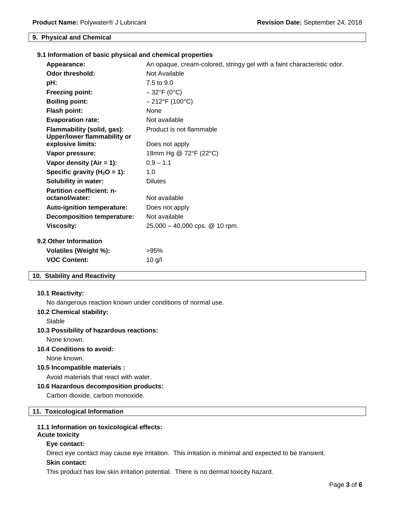### **9. Physical and Chemical**

|                                                    |                                                                  | 9.1 Information of basic physical and chemical properties               |
|----------------------------------------------------|------------------------------------------------------------------|-------------------------------------------------------------------------|
| Appearance:                                        |                                                                  | An opaque, cream-colored, stringy gel with a faint characteristic odor. |
| Odor threshold:                                    |                                                                  | Not Available                                                           |
| pH:                                                |                                                                  | 7.5 to 9.0                                                              |
| <b>Freezing point:</b>                             |                                                                  | $\sim$ 32°F (0°C)                                                       |
| <b>Boiling point:</b>                              |                                                                  | $\sim$ 212°F (100°C)                                                    |
| <b>Flash point:</b>                                |                                                                  | None                                                                    |
| <b>Evaporation rate:</b>                           |                                                                  | Not available                                                           |
|                                                    | Flammability (solid, gas):<br><b>Upper/lower flammability or</b> | Product is not flammable                                                |
| explosive limits:                                  |                                                                  | Does not apply                                                          |
| Vapor pressure:                                    |                                                                  | 18mm Hg @ 72°F (22°C)                                                   |
| Vapor density (Air $= 1$ ):                        |                                                                  | $0.9 - 1.1$                                                             |
|                                                    | Specific gravity ( $H_2O = 1$ ):                                 | 1.0                                                                     |
| <b>Solubility in water:</b>                        |                                                                  | <b>Dilutes</b>                                                          |
| <b>Partition coefficient: n-</b><br>octanol/water: |                                                                  | Not available                                                           |
|                                                    | <b>Auto-ignition temperature:</b>                                | Does not apply                                                          |
|                                                    | Decomposition temperature:                                       | Not available                                                           |

# **9.2 Other Information**

| <b>J.</b> OUICH HILDI HIAUUH |         |  |
|------------------------------|---------|--|
| Volatiles (Weight %):        | $>95\%$ |  |
| <b>VOC Content:</b>          | 10q/l   |  |
|                              |         |  |

# **10. Stability and Reactivity**

#### **10.1 Reactivity:**

No dangerous reaction known under conditions of normal use.

**Viscosity:** 25,000 – 40,000 cps. @ 10 rpm.

### **10.2 Chemical stability:**

**Stable** 

### **10.3 Possibility of hazardous reactions:**

None known.

# **10.4 Conditions to avoid:**

None known.

# **10.5 Incompatible materials :**

Avoid materials that react with water.

# **10.6 Hazardous decomposition products:**

Carbon dioxide, carbon monoxide.

# **11. Toxicological Information**

# **11.1 Information on toxicological effects:**

# **Acute toxicity**

# **Eye contact:**

Direct eye contact may cause eye irritation. This irritation is minimal and expected to be transient.

# **Skin contact:**

This product has low skin irritation potential. There is no dermal toxicity hazard.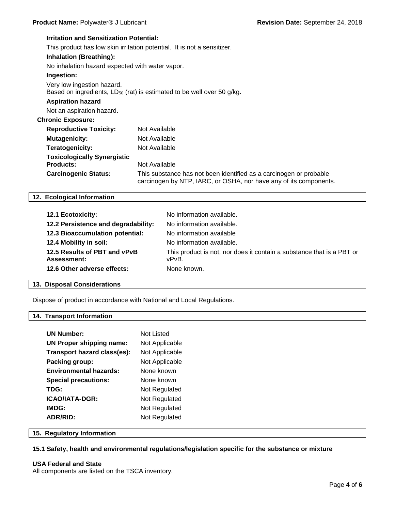# **Irritation and Sensitization Potential:** This product has low skin irritation potential. It is not a sensitizer. **Inhalation (Breathing):** No inhalation hazard expected with water vapor. **Ingestion:** Very low ingestion hazard. Based on ingredients, LD<sub>50</sub> (rat) is estimated to be well over 50 g/kg. **Aspiration hazard** Not an aspiration hazard. **Chronic Exposure: Reproductive Toxicity:** Not Available **Mutagenicity:** Not Available **Teratogenicity:** Not Available **Toxicologically Synergistic Products:** Not Available **Carcinogenic Status:** This substance has not been identified as a carcinogen or probable carcinogen by NTP, IARC, or OSHA, nor have any of its components.

# **12. Ecological Information**

| 12.1 Ecotoxicity:                                  | No information available.                                                      |
|----------------------------------------------------|--------------------------------------------------------------------------------|
| 12.2 Persistence and degradability:                | No information available.                                                      |
| 12.3 Bioaccumulation potential:                    | No information available                                                       |
| 12.4 Mobility in soil:                             | No information available.                                                      |
| 12.5 Results of PBT and vPvB<br><b>Assessment:</b> | This product is not, nor does it contain a substance that is a PBT or<br>vPvB. |
| 12.6 Other adverse effects:                        | None known.                                                                    |

# **13. Disposal Considerations**

Dispose of product in accordance with National and Local Regulations.

# **14. Transport Information**

| <b>UN Number:</b>               | Not Listed     |
|---------------------------------|----------------|
| <b>UN Proper shipping name:</b> | Not Applicable |
| Transport hazard class(es):     | Not Applicable |
| Packing group:                  | Not Applicable |
| <b>Environmental hazards:</b>   | None known     |
| <b>Special precautions:</b>     | None known     |
| TDG:                            | Not Regulated  |
| ICAO/IATA-DGR:                  | Not Regulated  |
| IMDG:                           | Not Regulated  |
| <b>ADR/RID:</b>                 | Not Regulated  |

# **15. Regulatory Information**

# **15.1 Safety, health and environmental regulations/legislation specific for the substance or mixture**

# **USA Federal and State**

All components are listed on the TSCA inventory.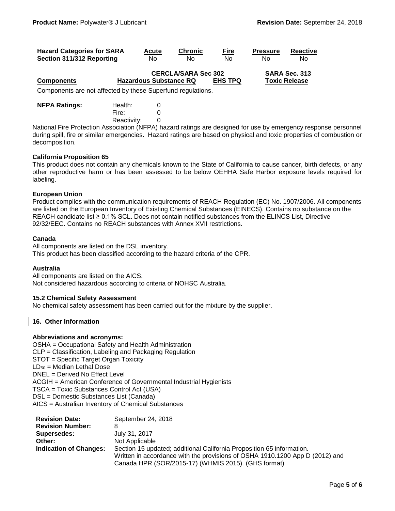| <b>Hazard Categories for SARA</b>                           |  | Acute                         | <b>Chronic</b>             | <u>Fire</u>    | <b>Pressure</b> | <b>Reactive</b>      |
|-------------------------------------------------------------|--|-------------------------------|----------------------------|----------------|-----------------|----------------------|
| Section 311/312 Reporting                                   |  | No.                           | No.                        | Nο             | No              | N٥                   |
|                                                             |  |                               | <b>CERCLA/SARA Sec 302</b> |                |                 | SARA Sec. 313        |
| <b>Components</b>                                           |  | <b>Hazardous Substance RQ</b> |                            | <b>EHS TPQ</b> |                 | <b>Toxic Release</b> |
| Components are not affected by these Superfund regulations. |  |                               |                            |                |                 |                      |

| <b>NFPA Ratings:</b> | Health:     | 0 |
|----------------------|-------------|---|
|                      | Fire:       | 0 |
|                      | Reactivity: | 0 |

National Fire Protection Association (NFPA) hazard ratings are designed for use by emergency response personnel during spill, fire or similar emergencies. Hazard ratings are based on physical and toxic properties of combustion or decomposition.

# **California Proposition 65**

This product does not contain any chemicals known to the State of California to cause cancer, birth defects, or any other reproductive harm or has been assessed to be below OEHHA Safe Harbor exposure levels required for labeling.

### **European Union**

Product complies with the communication requirements of REACH Regulation (EC) No. 1907/2006. All components are listed on the European Inventory of Existing Chemical Substances (EINECS). Contains no substance on the REACH candidate list ≥ 0.1% SCL. Does not contain notified substances from the ELINCS List, Directive 92/32/EEC. Contains no REACH substances with Annex XVII restrictions.

### **Canada**

All components are listed on the DSL inventory. This product has been classified according to the hazard criteria of the CPR.

# **Australia**

All components are listed on the AICS. Not considered hazardous according to criteria of NOHSC Australia.

# **15.2 Chemical Safety Assessment**

No chemical safety assessment has been carried out for the mixture by the supplier.

# **16. Other Information**

# **Abbreviations and acronyms:**

OSHA = Occupational Safety and Health Administration CLP = Classification, Labeling and Packaging Regulation STOT = Specific Target Organ Toxicity  $LD_{50}$  = Median Lethal Dose DNEL = Derived No Effect Level ACGIH = American Conference of Governmental Industrial Hygienists TSCA = Toxic Substances Control Act (USA) DSL = Domestic Substances List (Canada) AICS = Australian Inventory of Chemical Substances

| <b>Revision Date:</b>         | September 24, 2018                                                           |
|-------------------------------|------------------------------------------------------------------------------|
| <b>Revision Number:</b>       | 8                                                                            |
| Supersedes:                   | July 31, 2017                                                                |
| Other:                        | Not Applicable                                                               |
| <b>Indication of Changes:</b> | Section 15 updated; additional California Proposition 65 information.        |
|                               | Written in accordance with the provisions of OSHA 1910.1200 App D (2012) and |
|                               | Canada HPR (SOR/2015-17) (WHMIS 2015). (GHS format)                          |